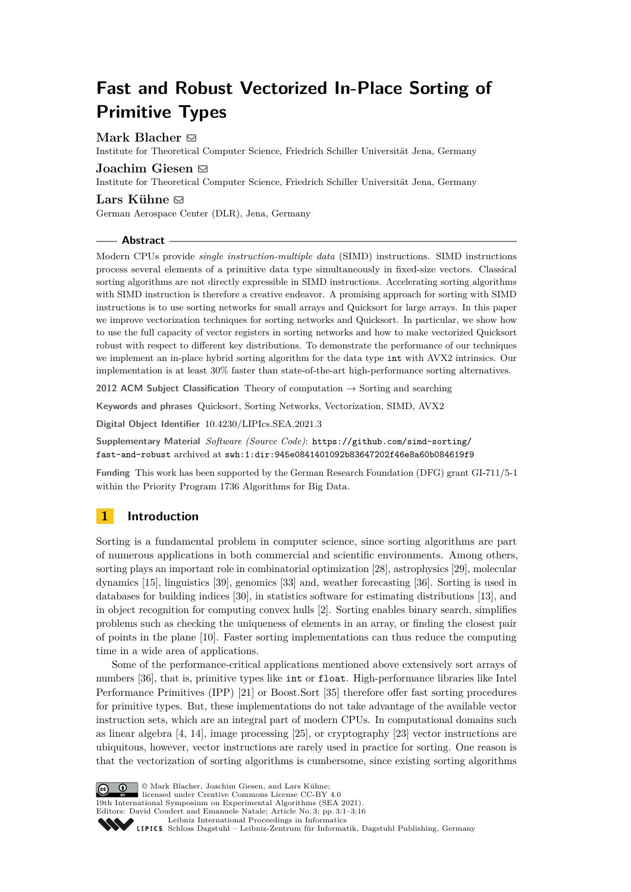# **Fast and Robust Vectorized In-Place Sorting of Primitive Types**

# **Mark Blacher** [!](mailto:mark.blacher@uni-jena.de)

Institute for Theoretical Computer Science, Friedrich Schiller Universität Jena, Germany

# **Joachim Giesen** [!](mailto:joachim.giesen@uni-jena.de)

Institute for Theoretical Computer Science, Friedrich Schiller Universität Jena, Germany

### **Lars Kühne** [!](mailto:lars.kuehne@dlr.de)

German Aerospace Center (DLR), Jena, Germany

### **Abstract**

Modern CPUs provide *single instruction-multiple data* (SIMD) instructions. SIMD instructions process several elements of a primitive data type simultaneously in fixed-size vectors. Classical sorting algorithms are not directly expressible in SIMD instructions. Accelerating sorting algorithms with SIMD instruction is therefore a creative endeavor. A promising approach for sorting with SIMD instructions is to use sorting networks for small arrays and Quicksort for large arrays. In this paper we improve vectorization techniques for sorting networks and Quicksort. In particular, we show how to use the full capacity of vector registers in sorting networks and how to make vectorized Quicksort robust with respect to different key distributions. To demonstrate the performance of our techniques we implement an in-place hybrid sorting algorithm for the data type int with AVX2 intrinsics. Our implementation is at least 30% faster than state-of-the-art high-performance sorting alternatives.

**2012 ACM Subject Classification** Theory of computation → Sorting and searching

**Keywords and phrases** Quicksort, Sorting Networks, Vectorization, SIMD, AVX2

**Digital Object Identifier** [10.4230/LIPIcs.SEA.2021.3](https://doi.org/10.4230/LIPIcs.SEA.2021.3)

**Supplementary Material** *Software (Source Code)*: [https://github.com/simd-sorting/](https://github.com/simd-sorting/fast-and-robust) [fast-and-robust](https://github.com/simd-sorting/fast-and-robust) archived at [swh:1:dir:945e0841401092b83647202f46e8a60b084619f9](https://archive.softwareheritage.org/swh:1:dir:945e0841401092b83647202f46e8a60b084619f9)

**Funding** This work has been supported by the German Research Foundation (DFG) grant GI-711/5-1 within the Priority Program 1736 Algorithms for Big Data.

# **1 Introduction**

Sorting is a fundamental problem in computer science, since sorting algorithms are part of numerous applications in both commercial and scientific environments. Among others, sorting plays an important role in combinatorial optimization [\[28\]](#page-13-0), astrophysics [\[29\]](#page-13-1), molecular dynamics [\[15\]](#page-12-0), linguistics [\[39\]](#page-13-2), genomics [\[33\]](#page-13-3) and, weather forecasting [\[36\]](#page-13-4). Sorting is used in databases for building indices [\[30\]](#page-13-5), in statistics software for estimating distributions [\[13\]](#page-12-1), and in object recognition for computing convex hulls [\[2\]](#page-12-2). Sorting enables binary search, simplifies problems such as checking the uniqueness of elements in an array, or finding the closest pair of points in the plane [\[10\]](#page-12-3). Faster sorting implementations can thus reduce the computing time in a wide area of applications.

Some of the performance-critical applications mentioned above extensively sort arrays of numbers [\[36\]](#page-13-4), that is, primitive types like int or float. High-performance libraries like Intel Performance Primitives (IPP) [\[21\]](#page-12-4) or Boost.Sort [\[35\]](#page-13-6) therefore offer fast sorting procedures for primitive types. But, these implementations do not take advantage of the available vector instruction sets, which are an integral part of modern CPUs. In computational domains such as linear algebra [\[4,](#page-12-5) [14\]](#page-12-6), image processing [\[25\]](#page-13-7), or cryptography [\[23\]](#page-13-8) vector instructions are ubiquitous, however, vector instructions are rarely used in practice for sorting. One reason is that the vectorization of sorting algorithms is cumbersome, since existing sorting algorithms



© Mark Blacher, Joachim Giesen, and Lars Kühne; licensed under Creative Commons License CC-BY 4.0 19th International Symposium on Experimental Algorithms (SEA 2021). Editors: David Coudert and Emanuele Natale; Article No. 3; pp. 3:1–3:16 [Leibniz International Proceedings in Informatics](https://www.dagstuhl.de/lipics/)

Leibniz international Floretungs in missimosische Publishing, Germany<br>LIPICS [Schloss Dagstuhl – Leibniz-Zentrum für Informatik, Dagstuhl Publishing, Germany](https://www.dagstuhl.de)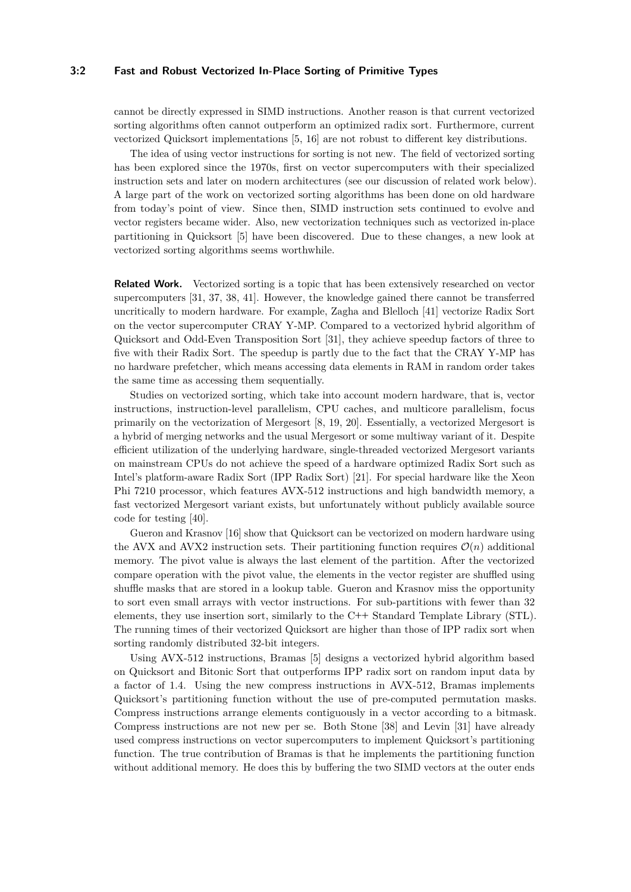### **3:2 Fast and Robust Vectorized In-Place Sorting of Primitive Types**

cannot be directly expressed in SIMD instructions. Another reason is that current vectorized sorting algorithms often cannot outperform an optimized radix sort. Furthermore, current vectorized Quicksort implementations [\[5,](#page-12-7) [16\]](#page-12-8) are not robust to different key distributions.

The idea of using vector instructions for sorting is not new. The field of vectorized sorting has been explored since the 1970s, first on vector supercomputers with their specialized instruction sets and later on modern architectures (see our discussion of related work below). A large part of the work on vectorized sorting algorithms has been done on old hardware from today's point of view. Since then, SIMD instruction sets continued to evolve and vector registers became wider. Also, new vectorization techniques such as vectorized in-place partitioning in Quicksort [\[5\]](#page-12-7) have been discovered. Due to these changes, a new look at vectorized sorting algorithms seems worthwhile.

**Related Work.** Vectorized sorting is a topic that has been extensively researched on vector supercomputers [\[31,](#page-13-9) [37,](#page-13-10) [38,](#page-13-11) [41\]](#page-13-12). However, the knowledge gained there cannot be transferred uncritically to modern hardware. For example, Zagha and Blelloch [\[41\]](#page-13-12) vectorize Radix Sort on the vector supercomputer CRAY Y-MP. Compared to a vectorized hybrid algorithm of Quicksort and Odd-Even Transposition Sort [\[31\]](#page-13-9), they achieve speedup factors of three to five with their Radix Sort. The speedup is partly due to the fact that the CRAY Y-MP has no hardware prefetcher, which means accessing data elements in RAM in random order takes the same time as accessing them sequentially.

Studies on vectorized sorting, which take into account modern hardware, that is, vector instructions, instruction-level parallelism, CPU caches, and multicore parallelism, focus primarily on the vectorization of Mergesort [\[8,](#page-12-9) [19,](#page-12-10) [20\]](#page-12-11). Essentially, a vectorized Mergesort is a hybrid of merging networks and the usual Mergesort or some multiway variant of it. Despite efficient utilization of the underlying hardware, single-threaded vectorized Mergesort variants on mainstream CPUs do not achieve the speed of a hardware optimized Radix Sort such as Intel's platform-aware Radix Sort (IPP Radix Sort) [\[21\]](#page-12-4). For special hardware like the Xeon Phi 7210 processor, which features AVX-512 instructions and high bandwidth memory, a fast vectorized Mergesort variant exists, but unfortunately without publicly available source code for testing [\[40\]](#page-13-13).

Gueron and Krasnov [\[16\]](#page-12-8) show that Quicksort can be vectorized on modern hardware using the AVX and AVX2 instruction sets. Their partitioning function requires  $\mathcal{O}(n)$  additional memory. The pivot value is always the last element of the partition. After the vectorized compare operation with the pivot value, the elements in the vector register are shuffled using shuffle masks that are stored in a lookup table. Gueron and Krasnov miss the opportunity to sort even small arrays with vector instructions. For sub-partitions with fewer than 32 elements, they use insertion sort, similarly to the C**++** Standard Template Library (STL). The running times of their vectorized Quicksort are higher than those of IPP radix sort when sorting randomly distributed 32-bit integers.

Using AVX-512 instructions, Bramas [\[5\]](#page-12-7) designs a vectorized hybrid algorithm based on Quicksort and Bitonic Sort that outperforms IPP radix sort on random input data by a factor of 1*.*4. Using the new compress instructions in AVX-512, Bramas implements Quicksort's partitioning function without the use of pre-computed permutation masks. Compress instructions arrange elements contiguously in a vector according to a bitmask. Compress instructions are not new per se. Both Stone [\[38\]](#page-13-11) and Levin [\[31\]](#page-13-9) have already used compress instructions on vector supercomputers to implement Quicksort's partitioning function. The true contribution of Bramas is that he implements the partitioning function without additional memory. He does this by buffering the two SIMD vectors at the outer ends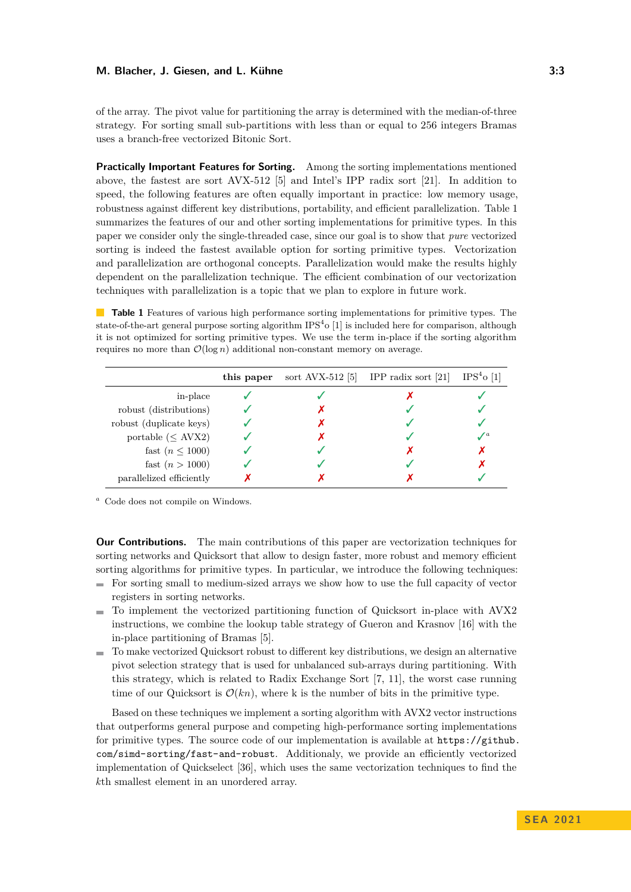### **M. Blacher, J. Giesen, and L. Kühne 3:3** and 3:3

of the array. The pivot value for partitioning the array is determined with the median-of-three strategy. For sorting small sub-partitions with less than or equal to 256 integers Bramas uses a branch-free vectorized Bitonic Sort.

**Practically Important Features for Sorting.** Among the sorting implementations mentioned above, the fastest are sort AVX-512 [\[5\]](#page-12-7) and Intel's IPP radix sort [\[21\]](#page-12-4). In addition to speed, the following features are often equally important in practice: low memory usage, robustness against different key distributions, portability, and efficient parallelization. Table [1](#page-2-0) summarizes the features of our and other sorting implementations for primitive types. In this paper we consider only the single-threaded case, since our goal is to show that *pure* vectorized sorting is indeed the fastest available option for sorting primitive types. Vectorization and parallelization are orthogonal concepts. Parallelization would make the results highly dependent on the parallelization technique. The efficient combination of our vectorization techniques with parallelization is a topic that we plan to explore in future work.

<span id="page-2-0"></span>**Table 1** Features of various high performance sorting implementations for primitive types. The state-of-the-art general purpose sorting algorithm  $IPS<sup>4</sup>$  o [\[1\]](#page-12-12) is included here for comparison, although it is not optimized for sorting primitive types. We use the term in-place if the sorting algorithm requires no more than  $\mathcal{O}(\log n)$  additional non-constant memory on average.

|                          | this paper | sort $Avx-512$ [5] | IPP radix sort $[21]$ | $IPS4$ o [1] |
|--------------------------|------------|--------------------|-----------------------|--------------|
| in-place                 |            |                    |                       |              |
| robust (distributions)   |            |                    |                       |              |
| robust (duplicate keys)  |            |                    |                       |              |
| portable ( $\leq$ AVX2)  |            |                    |                       |              |
| fast $(n \leq 1000)$     |            |                    |                       |              |
| fast $(n > 1000)$        |            |                    |                       |              |
| parallelized efficiently |            |                    |                       |              |

<span id="page-2-1"></span>*<sup>a</sup>* Code does not compile on Windows.

**Our Contributions.** The main contributions of this paper are vectorization techniques for sorting networks and Quicksort that allow to design faster, more robust and memory efficient sorting algorithms for primitive types. In particular, we introduce the following techniques:

- $\blacksquare$  For sorting small to medium-sized arrays we show how to use the full capacity of vector registers in sorting networks.
- $\blacksquare$  To implement the vectorized partitioning function of Quicksort in-place with AVX2 instructions, we combine the lookup table strategy of Gueron and Krasnov [\[16\]](#page-12-8) with the in-place partitioning of Bramas [\[5\]](#page-12-7).
- To make vectorized Quicksort robust to different key distributions, we design an alternative pivot selection strategy that is used for unbalanced sub-arrays during partitioning. With this strategy, which is related to Radix Exchange Sort [\[7,](#page-12-13) [11\]](#page-12-14), the worst case running time of our Quicksort is  $\mathcal{O}(kn)$ , where k is the number of bits in the primitive type.

Based on these techniques we implement a sorting algorithm with AVX2 vector instructions that outperforms general purpose and competing high-performance sorting implementations for primitive types. The source code of our implementation is available at [https://github.](https://github.com/simd-sorting/fast-and-robust) [com/simd-sorting/fast-and-robust](https://github.com/simd-sorting/fast-and-robust). Additionaly, we provide an efficiently vectorized implementation of Quickselect [\[36\]](#page-13-4), which uses the same vectorization techniques to find the *k*th smallest element in an unordered array.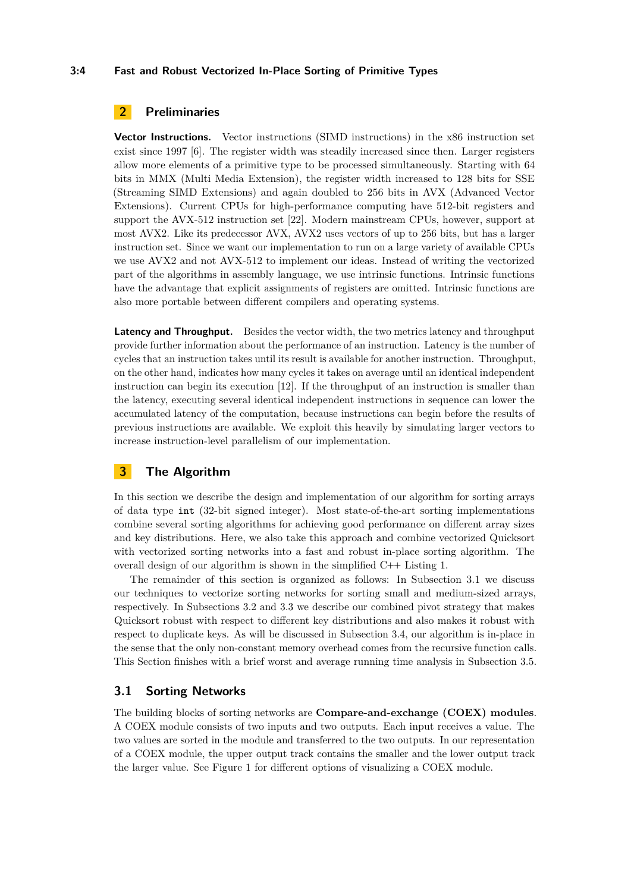### **3:4 Fast and Robust Vectorized In-Place Sorting of Primitive Types**

# **2 Preliminaries**

**Vector Instructions.** Vector instructions (SIMD instructions) in the x86 instruction set exist since 1997 [\[6\]](#page-12-15). The register width was steadily increased since then. Larger registers allow more elements of a primitive type to be processed simultaneously. Starting with 64 bits in MMX (Multi Media Extension), the register width increased to 128 bits for SSE (Streaming SIMD Extensions) and again doubled to 256 bits in AVX (Advanced Vector Extensions). Current CPUs for high-performance computing have 512-bit registers and support the AVX-512 instruction set [\[22\]](#page-13-14). Modern mainstream CPUs, however, support at most AVX2. Like its predecessor AVX, AVX2 uses vectors of up to 256 bits, but has a larger instruction set. Since we want our implementation to run on a large variety of available CPUs we use AVX2 and not AVX-512 to implement our ideas. Instead of writing the vectorized part of the algorithms in assembly language, we use intrinsic functions. Intrinsic functions have the advantage that explicit assignments of registers are omitted. Intrinsic functions are also more portable between different compilers and operating systems.

**Latency and Throughput.** Besides the vector width, the two metrics latency and throughput provide further information about the performance of an instruction. Latency is the number of cycles that an instruction takes until its result is available for another instruction. Throughput, on the other hand, indicates how many cycles it takes on average until an identical independent instruction can begin its execution [\[12\]](#page-12-16). If the throughput of an instruction is smaller than the latency, executing several identical independent instructions in sequence can lower the accumulated latency of the computation, because instructions can begin before the results of previous instructions are available. We exploit this heavily by simulating larger vectors to increase instruction-level parallelism of our implementation.

# **3 The Algorithm**

In this section we describe the design and implementation of our algorithm for sorting arrays of data type int (32-bit signed integer). Most state-of-the-art sorting implementations combine several sorting algorithms for achieving good performance on different array sizes and key distributions. Here, we also take this approach and combine vectorized Quicksort with vectorized sorting networks into a fast and robust in-place sorting algorithm. The overall design of our algorithm is shown in the simplified C**++** Listing [1.](#page-4-0)

The remainder of this section is organized as follows: In Subsection [3.1](#page-3-0) we discuss our techniques to vectorize sorting networks for sorting small and medium-sized arrays, respectively. In Subsections [3.2](#page-7-0) and [3.3](#page-8-0) we describe our combined pivot strategy that makes Quicksort robust with respect to different key distributions and also makes it robust with respect to duplicate keys. As will be discussed in Subsection [3.4,](#page-8-1) our algorithm is in-place in the sense that the only non-constant memory overhead comes from the recursive function calls. This Section finishes with a brief worst and average running time analysis in Subsection [3.5.](#page-8-2)

# <span id="page-3-0"></span>**3.1 Sorting Networks**

The building blocks of sorting networks are **Compare-and-exchange (COEX) modules**. A COEX module consists of two inputs and two outputs. Each input receives a value. The two values are sorted in the module and transferred to the two outputs. In our representation of a COEX module, the upper output track contains the smaller and the lower output track the larger value. See Figure [1](#page-4-1) for different options of visualizing a COEX module.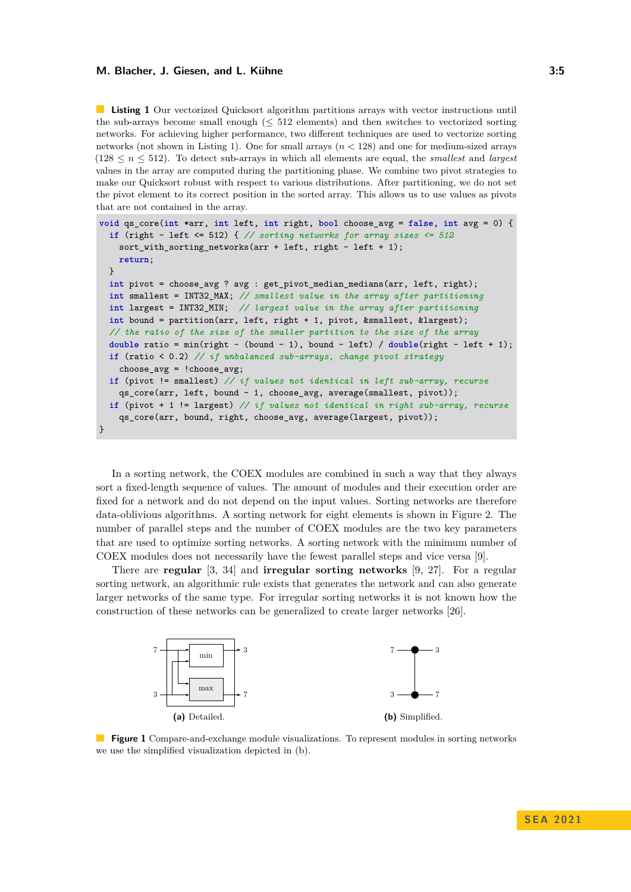#### **M. Blacher, J. Giesen, and L. Kühne 3:5** (1994) 19:52 (1995) 19:53

<span id="page-4-0"></span>**Listing 1** Our vectorized Quicksort algorithm partitions arrays with vector instructions until the sub-arrays become small enough  $( $512$  elements) and then switches to vectorized sorting$ networks. For achieving higher performance, two different techniques are used to vectorize sorting networks (not shown in Listing [1\)](#page-4-0). One for small arrays (*n <* 128) and one for medium-sized arrays  $(128 \leq n \leq 512)$ . To detect sub-arrays in which all elements are equal, the *smallest* and *largest* values in the array are computed during the partitioning phase. We combine two pivot strategies to make our Quicksort robust with respect to various distributions. After partitioning, we do not set the pivot element to its correct position in the sorted array. This allows us to use values as pivots that are not contained in the array.

```
void qs_core(int *arr, int left, int right, bool choose_avg = false, int avg = 0) {
  if (right - left <= 512) { // sorting networks for array sizes <= 512
    sort_with_sorting_networks(arr + left, right - left + 1);
    return;
  }
  int pivot = choose_avg ? avg : get_pivot_median_medians(arr, left, right);
  int smallest = INT32_MAX; // smallest value in the array after partitioning
  int largest = INT32_MIN; // largest value in the array after partitioning
  int bound = partition(arr, left, right + 1, pivot, &smallest, &largest);
  // the ratio of the size of the smaller partition to the size of the array
  double ratio = min(right - (bound - 1), bound - left) / double(right - left + 1);
  if (ratio < 0.2) // if unbalanced sub-arrays, change pivot strategy
    choose avg = !chooseavg;
  if (pivot != smallest) // if values not identical in left sub-array, recurse
    qs_core(arr, left, bound - 1, choose_avg, average(smallest, pivot));
  if (pivot + 1 != largest) // if values not identical in right sub-array, recurse
    qs_core(arr, bound, right, choose_avg, average(largest, pivot));
}
```
In a sorting network, the COEX modules are combined in such a way that they always sort a fixed-length sequence of values. The amount of modules and their execution order are fixed for a network and do not depend on the input values. Sorting networks are therefore data-oblivious algorithms. A sorting network for eight elements is shown in Figure [2.](#page-5-0) The number of parallel steps and the number of COEX modules are the two key parameters that are used to optimize sorting networks. A sorting network with the minimum number of COEX modules does not necessarily have the fewest parallel steps and vice versa [\[9\]](#page-12-17).

There are **regular** [\[3,](#page-12-18) [34\]](#page-13-15) and **irregular sorting networks** [\[9,](#page-12-17) [27\]](#page-13-16). For a regular sorting network, an algorithmic rule exists that generates the network and can also generate larger networks of the same type. For irregular sorting networks it is not known how the construction of these networks can be generalized to create larger networks [\[26\]](#page-13-17).

<span id="page-4-1"></span>

**Figure 1** Compare-and-exchange module visualizations. To represent modules in sorting networks we use the simplified visualization depicted in (b).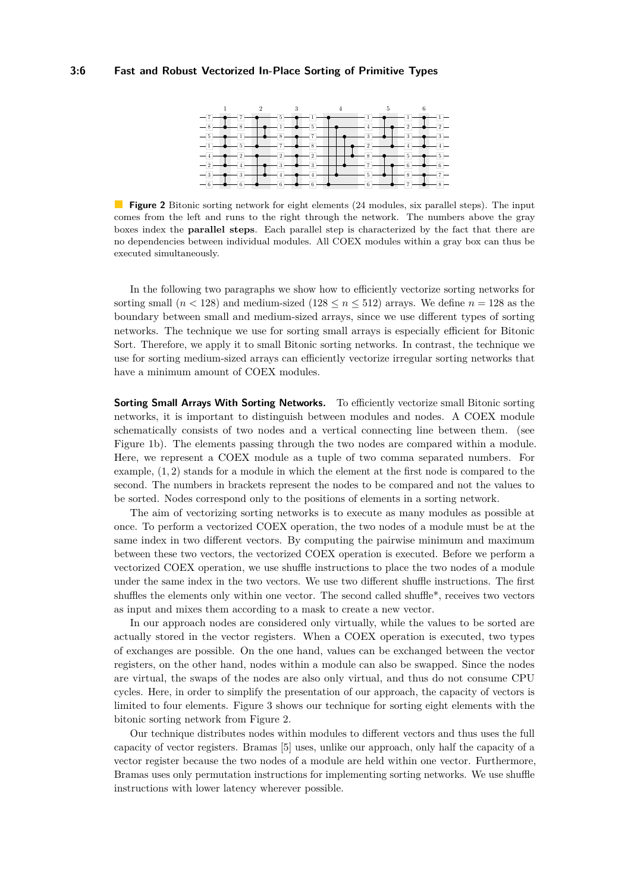<span id="page-5-0"></span>

**Figure 2** Bitonic sorting network for eight elements (24 modules, six parallel steps). The input comes from the left and runs to the right through the network. The numbers above the gray boxes index the **parallel steps**. Each parallel step is characterized by the fact that there are no dependencies between individual modules. All COEX modules within a gray box can thus be executed simultaneously.

In the following two paragraphs we show how to efficiently vectorize sorting networks for sorting small  $(n < 128)$  and medium-sized  $(128 \le n \le 512)$  arrays. We define  $n = 128$  as the boundary between small and medium-sized arrays, since we use different types of sorting networks. The technique we use for sorting small arrays is especially efficient for Bitonic Sort. Therefore, we apply it to small Bitonic sorting networks. In contrast, the technique we use for sorting medium-sized arrays can efficiently vectorize irregular sorting networks that have a minimum amount of COEX modules.

**Sorting Small Arrays With Sorting Networks.** To efficiently vectorize small Bitonic sorting networks, it is important to distinguish between modules and nodes. A COEX module schematically consists of two nodes and a vertical connecting line between them. (see Figure [1b\)](#page-4-1). The elements passing through the two nodes are compared within a module. Here, we represent a COEX module as a tuple of two comma separated numbers. For example, (1*,* 2) stands for a module in which the element at the first node is compared to the second. The numbers in brackets represent the nodes to be compared and not the values to be sorted. Nodes correspond only to the positions of elements in a sorting network.

The aim of vectorizing sorting networks is to execute as many modules as possible at once. To perform a vectorized COEX operation, the two nodes of a module must be at the same index in two different vectors. By computing the pairwise minimum and maximum between these two vectors, the vectorized COEX operation is executed. Before we perform a vectorized COEX operation, we use shuffle instructions to place the two nodes of a module under the same index in the two vectors. We use two different shuffle instructions. The first shuffles the elements only within one vector. The second called shuffle\*, receives two vectors as input and mixes them according to a mask to create a new vector.

In our approach nodes are considered only virtually, while the values to be sorted are actually stored in the vector registers. When a COEX operation is executed, two types of exchanges are possible. On the one hand, values can be exchanged between the vector registers, on the other hand, nodes within a module can also be swapped. Since the nodes are virtual, the swaps of the nodes are also only virtual, and thus do not consume CPU cycles. Here, in order to simplify the presentation of our approach, the capacity of vectors is limited to four elements. Figure [3](#page-6-0) shows our technique for sorting eight elements with the bitonic sorting network from Figure [2.](#page-5-0)

Our technique distributes nodes within modules to different vectors and thus uses the full capacity of vector registers. Bramas [\[5\]](#page-12-7) uses, unlike our approach, only half the capacity of a vector register because the two nodes of a module are held within one vector. Furthermore, Bramas uses only permutation instructions for implementing sorting networks. We use shuffle instructions with lower latency wherever possible.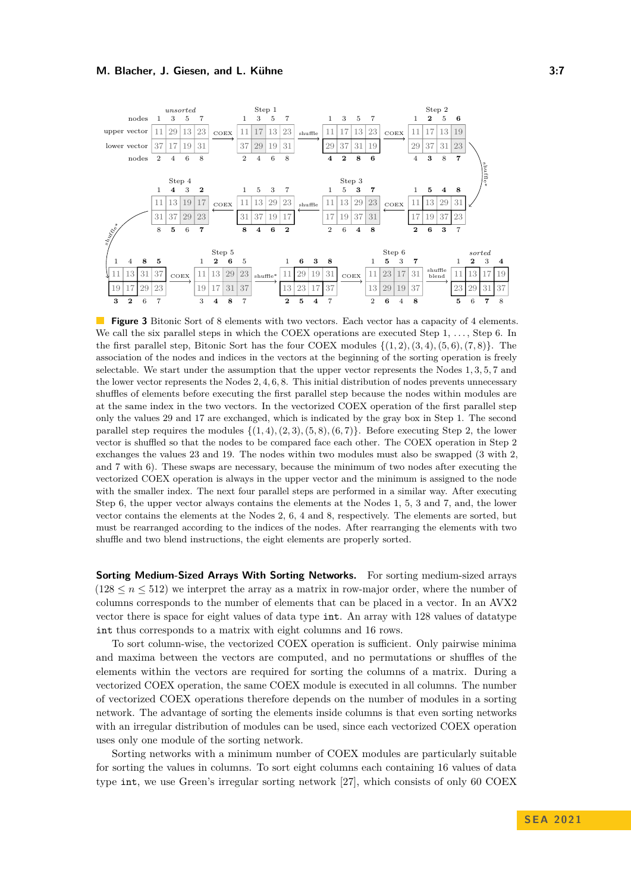### **M. Blacher, J. Giesen, and L. Kühne 3:7** (1998) 2:7

<span id="page-6-0"></span>

**Figure 3** Bitonic Sort of 8 elements with two vectors. Each vector has a capacity of 4 elements. We call the six parallel steps in which the COEX operations are executed Step  $1, \ldots$ , Step 6. In the first parallel step, Bitonic Sort has the four COEX modules {(1*,* 2)*,*(3*,* 4)*,*(5*,* 6)*,*(7*,* 8)}. The association of the nodes and indices in the vectors at the beginning of the sorting operation is freely selectable. We start under the assumption that the upper vector represents the Nodes 1*,* 3*,* 5*,* 7 and the lower vector represents the Nodes 2*,* 4*,* 6*,* 8. This initial distribution of nodes prevents unnecessary shuffles of elements before executing the first parallel step because the nodes within modules are at the same index in the two vectors. In the vectorized COEX operation of the first parallel step only the values 29 and 17 are exchanged, which is indicated by the gray box in Step 1. The second parallel step requires the modules  $\{(1,4), (2,3), (5,8), (6,7)\}$ . Before executing Step 2, the lower vector is shuffled so that the nodes to be compared face each other. The COEX operation in Step 2 exchanges the values 23 and 19. The nodes within two modules must also be swapped (3 with 2, and 7 with 6). These swaps are necessary, because the minimum of two nodes after executing the vectorized COEX operation is always in the upper vector and the minimum is assigned to the node with the smaller index. The next four parallel steps are performed in a similar way. After executing Step 6, the upper vector always contains the elements at the Nodes 1, 5, 3 and 7, and, the lower vector contains the elements at the Nodes 2, 6, 4 and 8, respectively. The elements are sorted, but must be rearranged according to the indices of the nodes. After rearranging the elements with two shuffle and two blend instructions, the eight elements are properly sorted.

**Sorting Medium-Sized Arrays With Sorting Networks.** For sorting medium-sized arrays  $(128 \le n \le 512)$  we interpret the array as a matrix in row-major order, where the number of columns corresponds to the number of elements that can be placed in a vector. In an AVX2 vector there is space for eight values of data type int. An array with 128 values of datatype int thus corresponds to a matrix with eight columns and 16 rows.

To sort column-wise, the vectorized COEX operation is sufficient. Only pairwise minima and maxima between the vectors are computed, and no permutations or shuffles of the elements within the vectors are required for sorting the columns of a matrix. During a vectorized COEX operation, the same COEX module is executed in all columns. The number of vectorized COEX operations therefore depends on the number of modules in a sorting network. The advantage of sorting the elements inside columns is that even sorting networks with an irregular distribution of modules can be used, since each vectorized COEX operation uses only one module of the sorting network.

Sorting networks with a minimum number of COEX modules are particularly suitable for sorting the values in columns. To sort eight columns each containing 16 values of data type int, we use Green's irregular sorting network [\[27\]](#page-13-16), which consists of only 60 COEX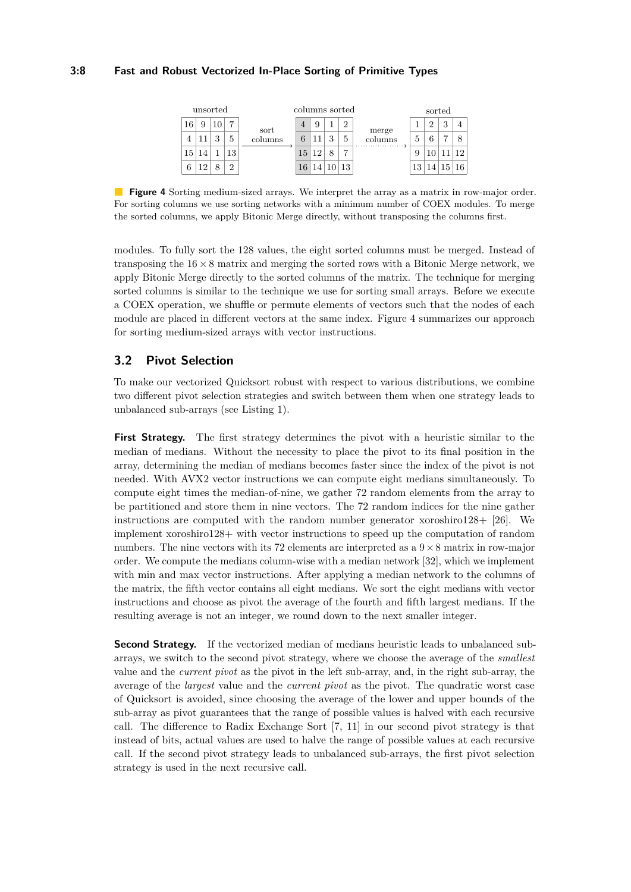# <span id="page-7-1"></span>**3:8 Fast and Robust Vectorized In-Place Sorting of Primitive Types**

| unsorted |  |   | columns sorted |                 |    |                 |                           |   | sorted                  |                 |       |   |    |
|----------|--|---|----------------|-----------------|----|-----------------|---------------------------|---|-------------------------|-----------------|-------|---|----|
| 16       |  |   |                | sort<br>columns | 4  |                 |                           | റ | merge<br>columns<br>. 3 |                 | ച     | 2 |    |
|          |  | 9 | 5              |                 |    |                 | $\Omega$                  | 5 |                         | Ð               |       |   |    |
| 15       |  |   | 13             |                 | 15 | 10              | $\circ$                   | ∍ |                         |                 |       |   | 12 |
|          |  |   | ച              |                 | 16 | 14 <sup>1</sup> | $\vert 10 \vert 13 \vert$ |   |                         | 13 <sup>1</sup> | 14 15 |   | 16 |

**Figure 4** Sorting medium-sized arrays. We interpret the array as a matrix in row-major order. For sorting columns we use sorting networks with a minimum number of COEX modules. To merge the sorted columns, we apply Bitonic Merge directly, without transposing the columns first.

modules. To fully sort the 128 values, the eight sorted columns must be merged. Instead of transposing the  $16 \times 8$  matrix and merging the sorted rows with a Bitonic Merge network, we apply Bitonic Merge directly to the sorted columns of the matrix. The technique for merging sorted columns is similar to the technique we use for sorting small arrays. Before we execute a COEX operation, we shuffle or permute elements of vectors such that the nodes of each module are placed in different vectors at the same index. Figure [4](#page-7-1) summarizes our approach for sorting medium-sized arrays with vector instructions.

# <span id="page-7-0"></span>**3.2 Pivot Selection**

To make our vectorized Quicksort robust with respect to various distributions, we combine two different pivot selection strategies and switch between them when one strategy leads to unbalanced sub-arrays (see Listing [1\)](#page-4-0).

**First Strategy.** The first strategy determines the pivot with a heuristic similar to the median of medians. Without the necessity to place the pivot to its final position in the array, determining the median of medians becomes faster since the index of the pivot is not needed. With AVX2 vector instructions we can compute eight medians simultaneously. To compute eight times the median-of-nine, we gather 72 random elements from the array to be partitioned and store them in nine vectors. The 72 random indices for the nine gather instructions are computed with the random number generator xoroshiro128+  $[26]$ . We implement xoroshiro128+ with vector instructions to speed up the computation of random numbers. The nine vectors with its 72 elements are interpreted as a  $9 \times 8$  matrix in row-major order. We compute the medians column-wise with a median network [\[32\]](#page-13-18), which we implement with min and max vector instructions. After applying a median network to the columns of the matrix, the fifth vector contains all eight medians. We sort the eight medians with vector instructions and choose as pivot the average of the fourth and fifth largest medians. If the resulting average is not an integer, we round down to the next smaller integer.

**Second Strategy.** If the vectorized median of medians heuristic leads to unbalanced subarrays, we switch to the second pivot strategy, where we choose the average of the *smallest* value and the *current pivot* as the pivot in the left sub-array, and, in the right sub-array, the average of the *largest* value and the *current pivot* as the pivot. The quadratic worst case of Quicksort is avoided, since choosing the average of the lower and upper bounds of the sub-array as pivot guarantees that the range of possible values is halved with each recursive call. The difference to Radix Exchange Sort [\[7,](#page-12-13) [11\]](#page-12-14) in our second pivot strategy is that instead of bits, actual values are used to halve the range of possible values at each recursive call. If the second pivot strategy leads to unbalanced sub-arrays, the first pivot selection strategy is used in the next recursive call.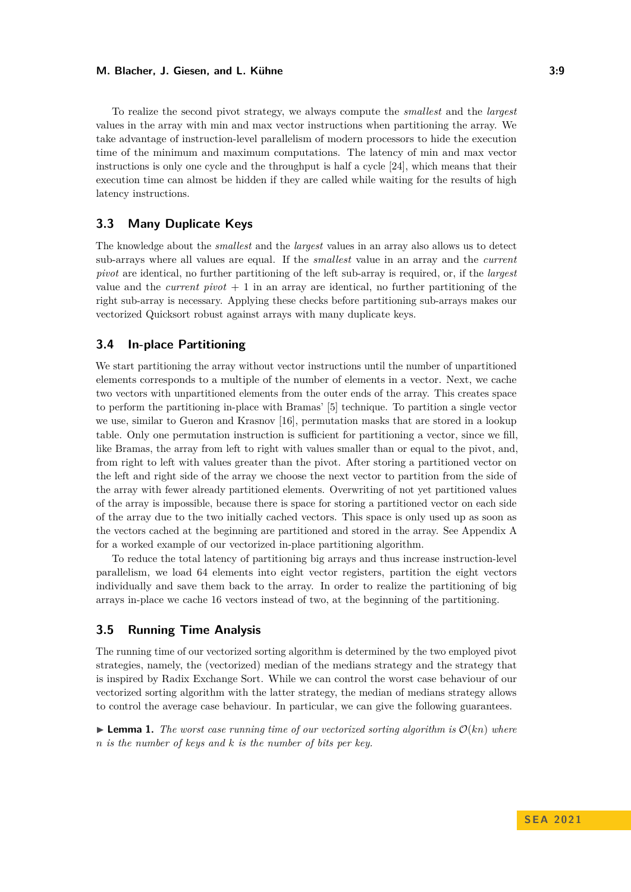### **M. Blacher, J. Giesen, and L. Kühne 3:9** 3:9

To realize the second pivot strategy, we always compute the *smallest* and the *largest* values in the array with min and max vector instructions when partitioning the array. We take advantage of instruction-level parallelism of modern processors to hide the execution time of the minimum and maximum computations. The latency of min and max vector instructions is only one cycle and the throughput is half a cycle [\[24\]](#page-13-19), which means that their execution time can almost be hidden if they are called while waiting for the results of high latency instructions.

# <span id="page-8-0"></span>**3.3 Many Duplicate Keys**

The knowledge about the *smallest* and the *largest* values in an array also allows us to detect sub-arrays where all values are equal. If the *smallest* value in an array and the *current pivot* are identical, no further partitioning of the left sub-array is required, or, if the *largest* value and the *current pivot*  $+1$  in an array are identical, no further partitioning of the right sub-array is necessary. Applying these checks before partitioning sub-arrays makes our vectorized Quicksort robust against arrays with many duplicate keys.

# <span id="page-8-1"></span>**3.4 In-place Partitioning**

We start partitioning the array without vector instructions until the number of unpartitioned elements corresponds to a multiple of the number of elements in a vector. Next, we cache two vectors with unpartitioned elements from the outer ends of the array. This creates space to perform the partitioning in-place with Bramas' [\[5\]](#page-12-7) technique. To partition a single vector we use, similar to Gueron and Krasnov [\[16\]](#page-12-8), permutation masks that are stored in a lookup table. Only one permutation instruction is sufficient for partitioning a vector, since we fill, like Bramas, the array from left to right with values smaller than or equal to the pivot, and, from right to left with values greater than the pivot. After storing a partitioned vector on the left and right side of the array we choose the next vector to partition from the side of the array with fewer already partitioned elements. Overwriting of not yet partitioned values of the array is impossible, because there is space for storing a partitioned vector on each side of the array due to the two initially cached vectors. This space is only used up as soon as the vectors cached at the beginning are partitioned and stored in the array. See Appendix [A](#page-13-20) for a worked example of our vectorized in-place partitioning algorithm.

To reduce the total latency of partitioning big arrays and thus increase instruction-level parallelism, we load 64 elements into eight vector registers, partition the eight vectors individually and save them back to the array. In order to realize the partitioning of big arrays in-place we cache 16 vectors instead of two, at the beginning of the partitioning.

# <span id="page-8-2"></span>**3.5 Running Time Analysis**

The running time of our vectorized sorting algorithm is determined by the two employed pivot strategies, namely, the (vectorized) median of the medians strategy and the strategy that is inspired by Radix Exchange Sort. While we can control the worst case behaviour of our vectorized sorting algorithm with the latter strategy, the median of medians strategy allows to control the average case behaviour. In particular, we can give the following guarantees.

 $\blacktriangleright$  **Lemma 1.** The worst case running time of our vectorized sorting algorithm is  $\mathcal{O}(k n)$  where *n is the number of keys and k is the number of bits per key.*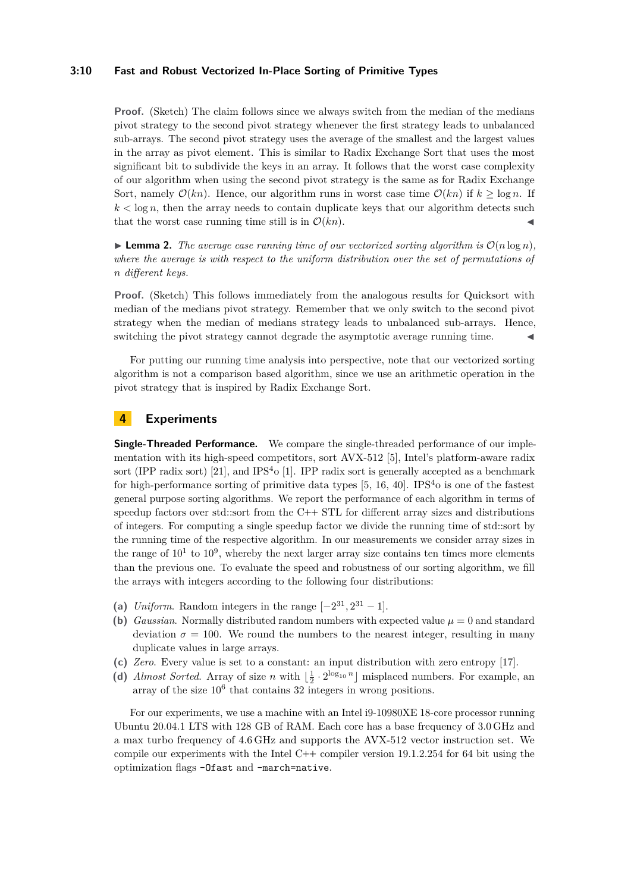### **3:10 Fast and Robust Vectorized In-Place Sorting of Primitive Types**

**Proof.** (Sketch) The claim follows since we always switch from the median of the medians pivot strategy to the second pivot strategy whenever the first strategy leads to unbalanced sub-arrays. The second pivot strategy uses the average of the smallest and the largest values in the array as pivot element. This is similar to Radix Exchange Sort that uses the most significant bit to subdivide the keys in an array. It follows that the worst case complexity of our algorithm when using the second pivot strategy is the same as for Radix Exchange Sort, namely  $\mathcal{O}(kn)$ . Hence, our algorithm runs in worst case time  $\mathcal{O}(kn)$  if  $k > \log n$ . If  $k < \log n$ , then the array needs to contain duplicate keys that our algorithm detects such that the worst case running time still is in  $\mathcal{O}(kn)$ .

 $\blacktriangleright$  **Lemma 2.** The average case running time of our vectorized sorting algorithm is  $\mathcal{O}(n \log n)$ , *where the average is with respect to the uniform distribution over the set of permutations of n different keys.*

**Proof.** (Sketch) This follows immediately from the analogous results for Quicksort with median of the medians pivot strategy. Remember that we only switch to the second pivot strategy when the median of medians strategy leads to unbalanced sub-arrays. Hence, switching the pivot strategy cannot degrade the asymptotic average running time.

For putting our running time analysis into perspective, note that our vectorized sorting algorithm is not a comparison based algorithm, since we use an arithmetic operation in the pivot strategy that is inspired by Radix Exchange Sort.

# **4 Experiments**

**Single-Threaded Performance.** We compare the single-threaded performance of our implementation with its high-speed competitors, sort AVX-512 [\[5\]](#page-12-7), Intel's platform-aware radix sort (IPP radix sort) [\[21\]](#page-12-4), and IPS<sup>4</sup>o [\[1\]](#page-12-12). IPP radix sort is generally accepted as a benchmark for high-performance sorting of primitive data types  $[5, 16, 40]$  $[5, 16, 40]$  $[5, 16, 40]$  $[5, 16, 40]$  $[5, 16, 40]$ . IPS<sup>4</sup>o is one of the fastest general purpose sorting algorithms. We report the performance of each algorithm in terms of speedup factors over std::sort from the C**++** STL for different array sizes and distributions of integers. For computing a single speedup factor we divide the running time of std::sort by the running time of the respective algorithm. In our measurements we consider array sizes in the range of  $10<sup>1</sup>$  to  $10<sup>9</sup>$ , whereby the next larger array size contains ten times more elements than the previous one. To evaluate the speed and robustness of our sorting algorithm, we fill the arrays with integers according to the following four distributions:

- (a) *Uniform*. Random integers in the range  $[-2^{31}, 2^{31} 1]$ .
- **(b)** *Gaussian*. Normally distributed random numbers with expected value  $\mu = 0$  and standard deviation  $\sigma = 100$ . We round the numbers to the nearest integer, resulting in many duplicate values in large arrays.
- **(c)** *Zero*. Every value is set to a constant: an input distribution with zero entropy [\[17\]](#page-12-19).
- (d) *Almost Sorted*. Array of size *n* with  $\left[\frac{1}{2} \cdot 2^{\log_{10} n}\right]$  misplaced numbers. For example, an array of the size  $10^6$  that contains 32 integers in wrong positions.

For our experiments, we use a machine with an Intel i9-10980XE 18-core processor running Ubuntu 20.04.1 LTS with 128 GB of RAM. Each core has a base frequency of 3.0 GHz and a max turbo frequency of 4.6 GHz and supports the AVX-512 vector instruction set. We compile our experiments with the Intel C**++** compiler version 19.1.2.254 for 64 bit using the optimization flags -Ofast and -march=native.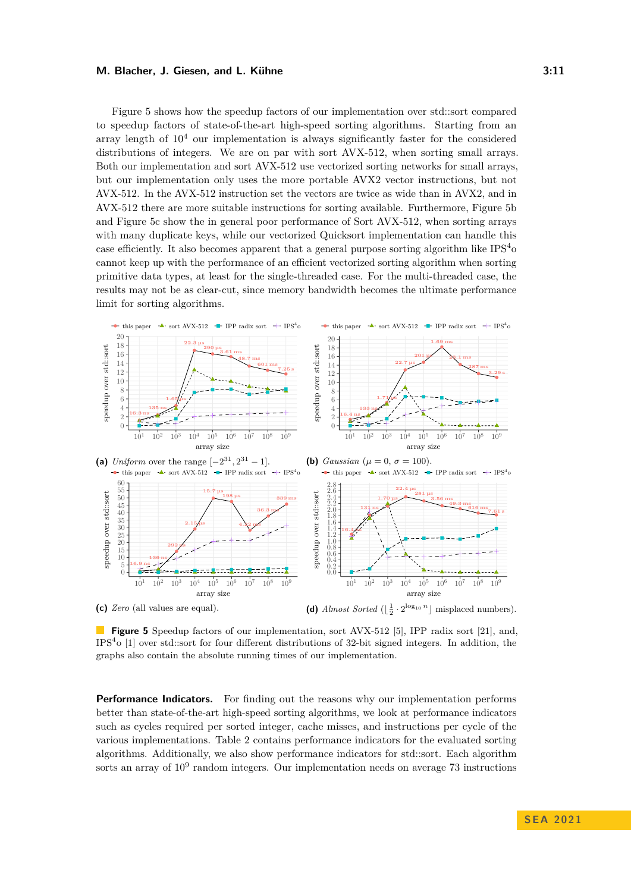#### **M. Blacher, J. Giesen, and L. Kühne 3:11 3:11**

Figure [5](#page-10-0) shows how the speedup factors of our implementation over std::sort compared to speedup factors of state-of-the-art high-speed sorting algorithms. Starting from an array length of  $10<sup>4</sup>$  our implementation is always significantly faster for the considered distributions of integers. We are on par with sort AVX-512, when sorting small arrays. Both our implementation and sort AVX-512 use vectorized sorting networks for small arrays, but our implementation only uses the more portable AVX2 vector instructions, but not AVX-512. In the AVX-512 instruction set the vectors are twice as wide than in AVX2, and in AVX-512 there are more suitable instructions for sorting available. Furthermore, Figure [5b](#page-10-0) and Figure [5c](#page-10-0) show the in general poor performance of Sort AVX-512, when sorting arrays with many duplicate keys, while our vectorized Quicksort implementation can handle this case efficiently. It also becomes apparent that a general purpose sorting algorithm like  $IPS<sup>4</sup>$ cannot keep up with the performance of an efficient vectorized sorting algorithm when sorting primitive data types, at least for the single-threaded case. For the multi-threaded case, the results may not be as clear-cut, since memory bandwidth becomes the ultimate performance limit for sorting algorithms.

<span id="page-10-0"></span>

**Figure 5** Speedup factors of our implementation, sort AVX-512 [\[5\]](#page-12-7), IPP radix sort [\[21\]](#page-12-4), and, IPS<sup>4</sup> o [\[1\]](#page-12-12) over std::sort for four different distributions of 32-bit signed integers. In addition, the graphs also contain the absolute running times of our implementation.

**Performance Indicators.** For finding out the reasons why our implementation performs better than state-of-the-art high-speed sorting algorithms, we look at performance indicators such as cycles required per sorted integer, cache misses, and instructions per cycle of the various implementations. Table [2](#page-11-0) contains performance indicators for the evaluated sorting algorithms. Additionally, we also show performance indicators for std::sort. Each algorithm sorts an array of  $10^9$  random integers. Our implementation needs on average 73 instructions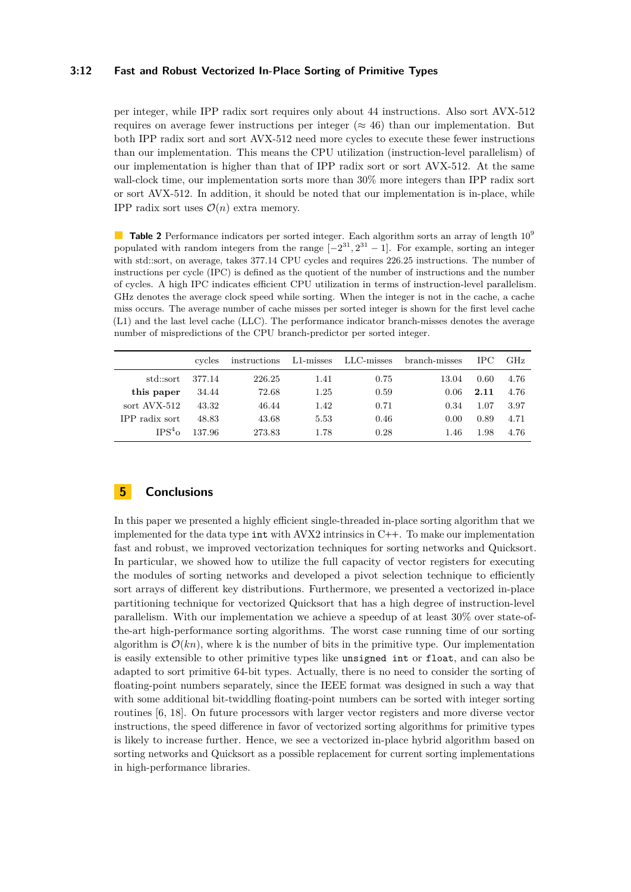### **3:12 Fast and Robust Vectorized In-Place Sorting of Primitive Types**

per integer, while IPP radix sort requires only about 44 instructions. Also sort AVX-512 requires on average fewer instructions per integer ( $\approx 46$ ) than our implementation. But both IPP radix sort and sort AVX-512 need more cycles to execute these fewer instructions than our implementation. This means the CPU utilization (instruction-level parallelism) of our implementation is higher than that of IPP radix sort or sort AVX-512. At the same wall-clock time, our implementation sorts more than 30% more integers than IPP radix sort or sort AVX-512. In addition, it should be noted that our implementation is in-place, while IPP radix sort uses  $\mathcal{O}(n)$  extra memory.

<span id="page-11-0"></span>**Table 2** Performance indicators per sorted integer. Each algorithm sorts an array of length  $10^9$ populated with random integers from the range  $[-2^{31}, 2^{31} - 1]$ . For example, sorting an integer with std::sort, on average, takes 377.14 CPU cycles and requires 226.25 instructions. The number of instructions per cycle (IPC) is defined as the quotient of the number of instructions and the number of cycles. A high IPC indicates efficient CPU utilization in terms of instruction-level parallelism. GHz denotes the average clock speed while sorting. When the integer is not in the cache, a cache miss occurs. The average number of cache misses per sorted integer is shown for the first level cache (L1) and the last level cache (LLC). The performance indicator branch-misses denotes the average number of mispredictions of the CPU branch-predictor per sorted integer.

|                       | cycles | instructions | $L1$ -misses | $LLC$ -misses | branch-misses | TPC. | GHz. |
|-----------------------|--------|--------------|--------------|---------------|---------------|------|------|
| std::sort             | 377.14 | 226.25       | 1.41         | 0.75          | 13.04         | 0.60 | 4.76 |
| this paper            | 34.44  | 72.68        | 1.25         | 0.59          | 0.06          | 2.11 | 4.76 |
| sort AVX-512          | 43.32  | 46.44        | 1.42         | 0.71          | 0.34          | 1.07 | 3.97 |
| <b>IPP</b> radix sort | 48.83  | 43.68        | 5.53         | 0.46          | 0.00          | 0.89 | 4.71 |
| IPS <sup>4</sup>      | 137.96 | 273.83       | 1.78         | 0.28          | 1.46          | 1.98 | 4.76 |

# **5 Conclusions**

In this paper we presented a highly efficient single-threaded in-place sorting algorithm that we implemented for the data type int with AVX2 intrinsics in C**++**. To make our implementation fast and robust, we improved vectorization techniques for sorting networks and Quicksort. In particular, we showed how to utilize the full capacity of vector registers for executing the modules of sorting networks and developed a pivot selection technique to efficiently sort arrays of different key distributions. Furthermore, we presented a vectorized in-place partitioning technique for vectorized Quicksort that has a high degree of instruction-level parallelism. With our implementation we achieve a speedup of at least 30% over state-ofthe-art high-performance sorting algorithms. The worst case running time of our sorting algorithm is  $\mathcal{O}(kn)$ , where k is the number of bits in the primitive type. Our implementation is easily extensible to other primitive types like unsigned int or float, and can also be adapted to sort primitive 64-bit types. Actually, there is no need to consider the sorting of floating-point numbers separately, since the IEEE format was designed in such a way that with some additional bit-twiddling floating-point numbers can be sorted with integer sorting routines [\[6,](#page-12-15) [18\]](#page-12-20). On future processors with larger vector registers and more diverse vector instructions, the speed difference in favor of vectorized sorting algorithms for primitive types is likely to increase further. Hence, we see a vectorized in-place hybrid algorithm based on sorting networks and Quicksort as a possible replacement for current sorting implementations in high-performance libraries.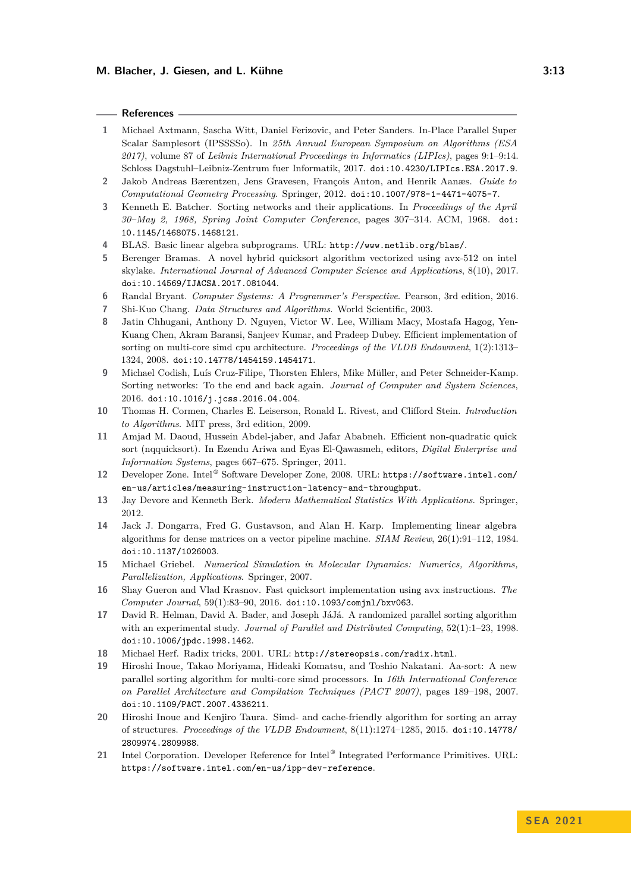### **References**

- <span id="page-12-12"></span>**1** Michael Axtmann, Sascha Witt, Daniel Ferizovic, and Peter Sanders. In-Place Parallel Super Scalar Samplesort (IPSSSSo). In *25th Annual European Symposium on Algorithms (ESA 2017)*, volume 87 of *Leibniz International Proceedings in Informatics (LIPIcs)*, pages 9:1–9:14. Schloss Dagstuhl–Leibniz-Zentrum fuer Informatik, 2017. [doi:10.4230/LIPIcs.ESA.2017.9](https://doi.org/10.4230/LIPIcs.ESA.2017.9).
- <span id="page-12-2"></span>**2** Jakob Andreas Bærentzen, Jens Gravesen, François Anton, and Henrik Aanæs. *Guide to Computational Geometry Processing*. Springer, 2012. [doi:10.1007/978-1-4471-4075-7](https://doi.org/10.1007/978-1-4471-4075-7).
- <span id="page-12-18"></span>**3** Kenneth E. Batcher. Sorting networks and their applications. In *Proceedings of the April 30–May 2, 1968, Spring Joint Computer Conference*, pages 307–314. ACM, 1968. [doi:](https://doi.org/10.1145/1468075.1468121) [10.1145/1468075.1468121](https://doi.org/10.1145/1468075.1468121).
- <span id="page-12-5"></span>**4** BLAS. Basic linear algebra subprograms. URL: <http://www.netlib.org/blas/>.
- <span id="page-12-7"></span>**5** Berenger Bramas. A novel hybrid quicksort algorithm vectorized using avx-512 on intel skylake. *International Journal of Advanced Computer Science and Applications*, 8(10), 2017. [doi:10.14569/IJACSA.2017.081044](https://doi.org/10.14569/IJACSA.2017.081044).
- <span id="page-12-15"></span>**6** Randal Bryant. *Computer Systems: A Programmer's Perspective*. Pearson, 3rd edition, 2016.
- <span id="page-12-13"></span>**7** Shi-Kuo Chang. *Data Structures and Algorithms*. World Scientific, 2003.
- <span id="page-12-9"></span>**8** Jatin Chhugani, Anthony D. Nguyen, Victor W. Lee, William Macy, Mostafa Hagog, Yen-Kuang Chen, Akram Baransi, Sanjeev Kumar, and Pradeep Dubey. Efficient implementation of sorting on multi-core simd cpu architecture. *Proceedings of the VLDB Endowment*, 1(2):1313– 1324, 2008. [doi:10.14778/1454159.1454171](https://doi.org/10.14778/1454159.1454171).
- <span id="page-12-17"></span>**9** Michael Codish, Luís Cruz-Filipe, Thorsten Ehlers, Mike Müller, and Peter Schneider-Kamp. Sorting networks: To the end and back again. *Journal of Computer and System Sciences*, 2016. [doi:10.1016/j.jcss.2016.04.004](https://doi.org/10.1016/j.jcss.2016.04.004).
- <span id="page-12-3"></span>**10** Thomas H. Cormen, Charles E. Leiserson, Ronald L. Rivest, and Clifford Stein. *Introduction to Algorithms*. MIT press, 3rd edition, 2009.
- <span id="page-12-14"></span>**11** Amjad M. Daoud, Hussein Abdel-jaber, and Jafar Ababneh. Efficient non-quadratic quick sort (nqquicksort). In Ezendu Ariwa and Eyas El-Qawasmeh, editors, *Digital Enterprise and Information Systems*, pages 667–675. Springer, 2011.
- <span id="page-12-16"></span>**12** Developer Zone. Intel ® Software Developer Zone, 2008. URL: [https://software.intel.com/](https://software.intel.com/en-us/articles/measuring-instruction-latency-and-throughput) [en-us/articles/measuring-instruction-latency-and-throughput](https://software.intel.com/en-us/articles/measuring-instruction-latency-and-throughput).
- <span id="page-12-1"></span>**13** Jay Devore and Kenneth Berk. *Modern Mathematical Statistics With Applications*. Springer, 2012.
- <span id="page-12-6"></span>**14** Jack J. Dongarra, Fred G. Gustavson, and Alan H. Karp. Implementing linear algebra algorithms for dense matrices on a vector pipeline machine. *SIAM Review*, 26(1):91–112, 1984. [doi:10.1137/1026003](https://doi.org/10.1137/1026003).
- <span id="page-12-0"></span>**15** Michael Griebel. *Numerical Simulation in Molecular Dynamics: Numerics, Algorithms, Parallelization, Applications*. Springer, 2007.
- <span id="page-12-8"></span>**16** Shay Gueron and Vlad Krasnov. Fast quicksort implementation using avx instructions. *The Computer Journal*, 59(1):83–90, 2016. [doi:10.1093/comjnl/bxv063](https://doi.org/10.1093/comjnl/bxv063).
- <span id="page-12-19"></span>**17** David R. Helman, David A. Bader, and Joseph JáJá. A randomized parallel sorting algorithm with an experimental study. *Journal of Parallel and Distributed Computing*, 52(1):1–23, 1998. [doi:10.1006/jpdc.1998.1462](https://doi.org/10.1006/jpdc.1998.1462).
- <span id="page-12-20"></span>**18** Michael Herf. Radix tricks, 2001. URL: <http://stereopsis.com/radix.html>.
- <span id="page-12-10"></span>**19** Hiroshi Inoue, Takao Moriyama, Hideaki Komatsu, and Toshio Nakatani. Aa-sort: A new parallel sorting algorithm for multi-core simd processors. In *16th International Conference on Parallel Architecture and Compilation Techniques (PACT 2007)*, pages 189–198, 2007. [doi:10.1109/PACT.2007.4336211](https://doi.org/10.1109/PACT.2007.4336211).
- <span id="page-12-11"></span>**20** Hiroshi Inoue and Kenjiro Taura. Simd- and cache-friendly algorithm for sorting an array of structures. *Proceedings of the VLDB Endowment*, 8(11):1274–1285, 2015. [doi:10.14778/](https://doi.org/10.14778/2809974.2809988) [2809974.2809988](https://doi.org/10.14778/2809974.2809988).
- <span id="page-12-4"></span>21 Intel Corporation. Developer Reference for Intel® Integrated Performance Primitives. URL: <https://software.intel.com/en-us/ipp-dev-reference>.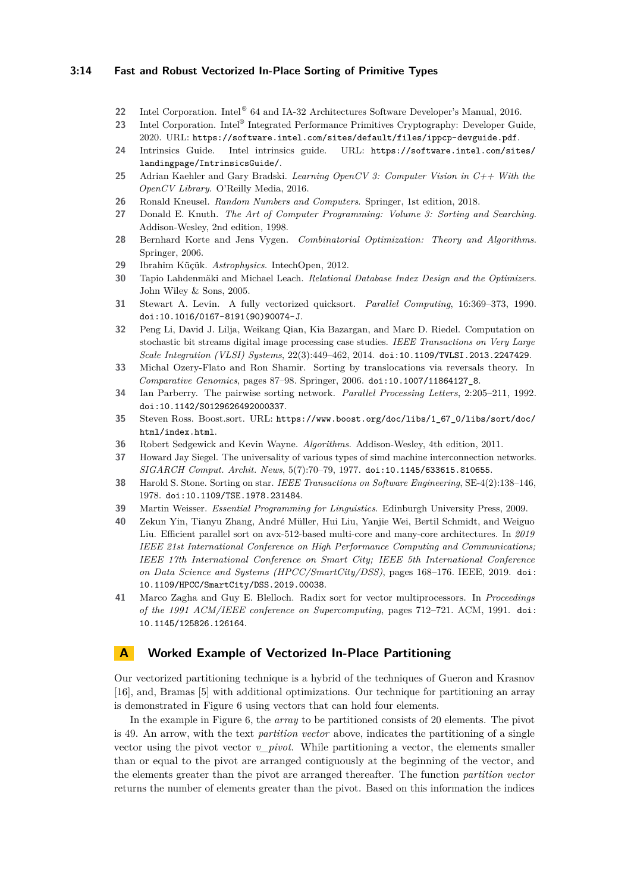### **3:14 Fast and Robust Vectorized In-Place Sorting of Primitive Types**

- <span id="page-13-14"></span>22 Intel Corporation. Intel<sup>®</sup> 64 and IA-32 Architectures Software Developer's Manual, 2016.
- <span id="page-13-8"></span>23 Intel Corporation. Intel<sup>®</sup> Integrated Performance Primitives Cryptography: Developer Guide, 2020. URL: <https://software.intel.com/sites/default/files/ippcp-devguide.pdf>.
- <span id="page-13-19"></span>**24** Intrinsics Guide. Intel intrinsics guide. URL: [https://software.intel.com/sites/](https://software.intel.com/sites/landingpage/IntrinsicsGuide/) [landingpage/IntrinsicsGuide/](https://software.intel.com/sites/landingpage/IntrinsicsGuide/).
- <span id="page-13-7"></span>**25** Adrian Kaehler and Gary Bradski. *Learning OpenCV 3: Computer Vision in C++ With the OpenCV Library*. O'Reilly Media, 2016.
- <span id="page-13-17"></span>**26** Ronald Kneusel. *Random Numbers and Computers*. Springer, 1st edition, 2018.
- <span id="page-13-16"></span>**27** Donald E. Knuth. *The Art of Computer Programming: Volume 3: Sorting and Searching*. Addison-Wesley, 2nd edition, 1998.
- <span id="page-13-0"></span>**28** Bernhard Korte and Jens Vygen. *Combinatorial Optimization: Theory and Algorithms*. Springer, 2006.
- <span id="page-13-1"></span>**29** Ibrahim Küçük. *Astrophysics*. IntechOpen, 2012.
- <span id="page-13-5"></span>**30** Tapio Lahdenmäki and Michael Leach. *Relational Database Index Design and the Optimizers*. John Wiley & Sons, 2005.
- <span id="page-13-9"></span>**31** Stewart A. Levin. A fully vectorized quicksort. *Parallel Computing*, 16:369–373, 1990. [doi:10.1016/0167-8191\(90\)90074-J](https://doi.org/10.1016/0167-8191(90)90074-J).
- <span id="page-13-18"></span>**32** Peng Li, David J. Lilja, Weikang Qian, Kia Bazargan, and Marc D. Riedel. Computation on stochastic bit streams digital image processing case studies. *IEEE Transactions on Very Large Scale Integration (VLSI) Systems*, 22(3):449–462, 2014. [doi:10.1109/TVLSI.2013.2247429](https://doi.org/10.1109/TVLSI.2013.2247429).
- <span id="page-13-3"></span>**33** Michal Ozery-Flato and Ron Shamir. Sorting by translocations via reversals theory. In *Comparative Genomics*, pages 87–98. Springer, 2006. [doi:10.1007/11864127\\_8](https://doi.org/10.1007/11864127_8).
- <span id="page-13-15"></span>**34** Ian Parberry. The pairwise sorting network. *Parallel Processing Letters*, 2:205–211, 1992. [doi:10.1142/S0129626492000337](https://doi.org/10.1142/S0129626492000337).
- <span id="page-13-6"></span>**35** Steven Ross. Boost.sort. URL: [https://www.boost.org/doc/libs/1\\_67\\_0/libs/sort/doc/](https://www.boost.org/doc/libs/1_67_0/libs/sort/doc/html/index.html) [html/index.html](https://www.boost.org/doc/libs/1_67_0/libs/sort/doc/html/index.html).
- <span id="page-13-4"></span>**36** Robert Sedgewick and Kevin Wayne. *Algorithms*. Addison-Wesley, 4th edition, 2011.
- <span id="page-13-10"></span>**37** Howard Jay Siegel. The universality of various types of simd machine interconnection networks. *SIGARCH Comput. Archit. News*, 5(7):70–79, 1977. [doi:10.1145/633615.810655](https://doi.org/10.1145/633615.810655).
- <span id="page-13-11"></span>**38** Harold S. Stone. Sorting on star. *IEEE Transactions on Software Engineering*, SE-4(2):138–146, 1978. [doi:10.1109/TSE.1978.231484](https://doi.org/10.1109/TSE.1978.231484).
- <span id="page-13-2"></span>**39** Martin Weisser. *Essential Programming for Linguistics*. Edinburgh University Press, 2009.
- <span id="page-13-13"></span>**40** Zekun Yin, Tianyu Zhang, André Müller, Hui Liu, Yanjie Wei, Bertil Schmidt, and Weiguo Liu. Efficient parallel sort on avx-512-based multi-core and many-core architectures. In *2019 IEEE 21st International Conference on High Performance Computing and Communications; IEEE 17th International Conference on Smart City; IEEE 5th International Conference on Data Science and Systems (HPCC/SmartCity/DSS)*, pages 168–176. IEEE, 2019. [doi:](https://doi.org/10.1109/HPCC/SmartCity/DSS.2019.00038) [10.1109/HPCC/SmartCity/DSS.2019.00038](https://doi.org/10.1109/HPCC/SmartCity/DSS.2019.00038).
- <span id="page-13-12"></span>**41** Marco Zagha and Guy E. Blelloch. Radix sort for vector multiprocessors. In *Proceedings of the 1991 ACM/IEEE conference on Supercomputing*, pages 712–721. ACM, 1991. [doi:](https://doi.org/10.1145/125826.126164) [10.1145/125826.126164](https://doi.org/10.1145/125826.126164).

## <span id="page-13-20"></span>**A Worked Example of Vectorized In-Place Partitioning**

Our vectorized partitioning technique is a hybrid of the techniques of Gueron and Krasnov [\[16\]](#page-12-8), and, Bramas [\[5\]](#page-12-7) with additional optimizations. Our technique for partitioning an array is demonstrated in Figure [6](#page-14-0) using vectors that can hold four elements.

In the example in Figure [6,](#page-14-0) the *array* to be partitioned consists of 20 elements. The pivot is 49. An arrow, with the text *partition vector* above, indicates the partitioning of a single vector using the pivot vector *v\_pivot*. While partitioning a vector, the elements smaller than or equal to the pivot are arranged contiguously at the beginning of the vector, and the elements greater than the pivot are arranged thereafter. The function *partition vector* returns the number of elements greater than the pivot. Based on this information the indices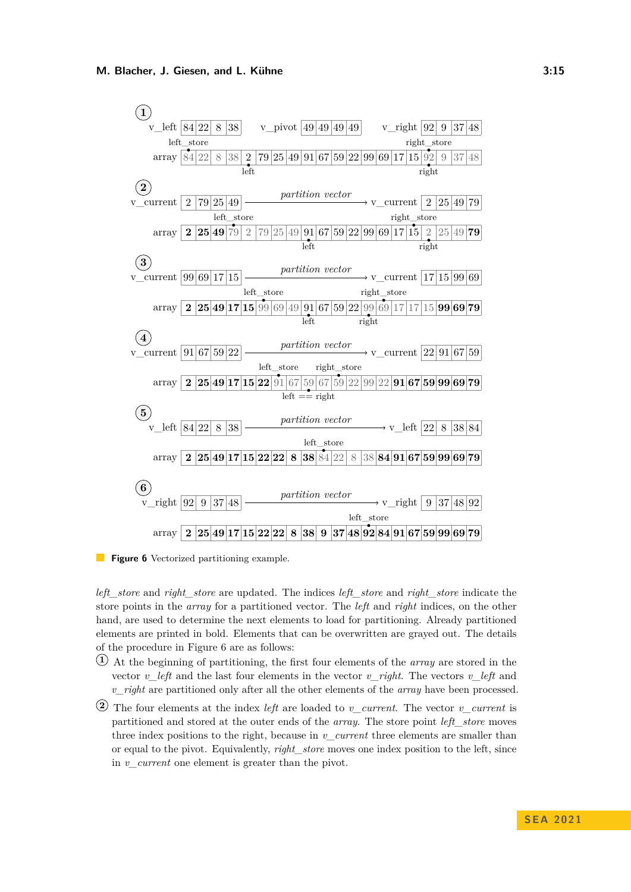<span id="page-14-0"></span>

**Figure 6** Vectorized partitioning example.

*left\_store* and *right\_store* are updated. The indices *left\_store* and *right\_store* indicate the store points in the *array* for a partitioned vector. The *left* and *right* indices, on the other hand, are used to determine the next elements to load for partitioning. Already partitioned elements are printed in bold. Elements that can be overwritten are grayed out. The details of the procedure in Figure [6](#page-14-0) are as follows:

- **1** At the beginning of partitioning, the first four elements of the *array* are stored in the vector *v\_left* and the last four elements in the vector *v\_right*. The vectors *v\_left* and *v\_right* are partitioned only after all the other elements of the *array* have been processed.
- **2** The four elements at the index *left* are loaded to *v\_current*. The vector *v\_current* is partitioned and stored at the outer ends of the *array*. The store point *left\_store* moves three index positions to the right, because in *v\_current* three elements are smaller than or equal to the pivot. Equivalently, *right\_store* moves one index position to the left, since in *v\_current* one element is greater than the pivot.